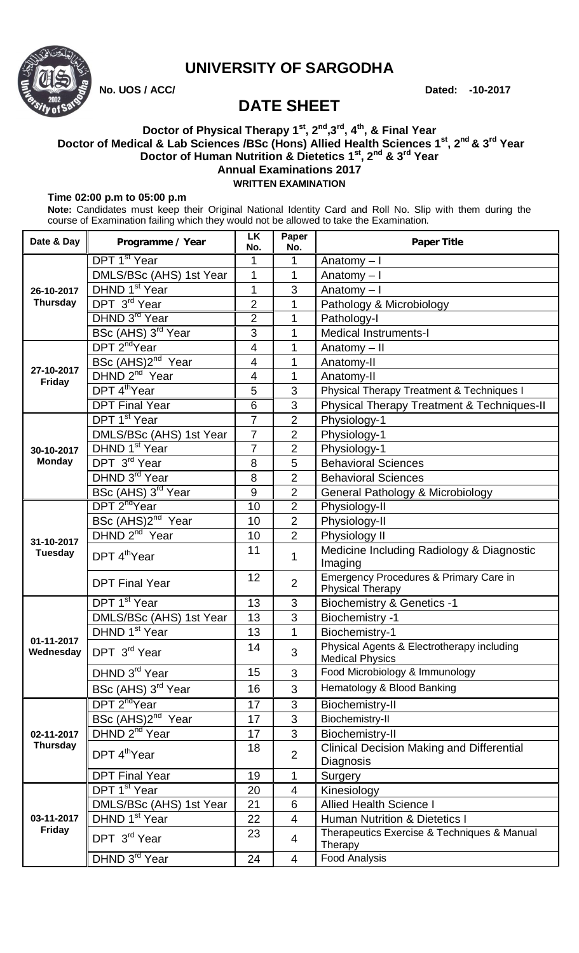

## **UNIVERSITY OF SARGODHA**

 **No. UOS / ACC/ Dated: -10-2017**

# **DATE SHEET**

#### **Doctor of Physical Therapy 1st, 2nd,3rd, 4th , & Final Year Doctor of Medical & Lab Sciences /BSc (Hons) Allied Health Sciences 1 st , 2 nd & 3rd Year Doctor of Human Nutrition & Dietetics 1 st, 2nd & 3rd Year Annual Examinations 2017 WRITTEN EXAMINATION**

#### **Time 02:00 p.m to 05:00 p.m**

**Note:** Candidates must keep their Original National Identity Card and Roll No. Slip with them during the course of Examination failing which they would not be allowed to take the Examination.

| Date & Day                    | Programme / Year               | <b>LK</b><br>No. | Paper<br>No.             | <b>Paper Title</b>                                                   |
|-------------------------------|--------------------------------|------------------|--------------------------|----------------------------------------------------------------------|
| 26-10-2017<br><b>Thursday</b> | DPT 1 <sup>st</sup> Year       | 1                | 1                        | Anatomy $-1$                                                         |
|                               | DMLS/BSc (AHS) 1st Year        | 1                | 1                        | Anatomy $-1$                                                         |
|                               | DHND 1 <sup>st</sup> Year      | 1                | 3                        | Anatomy-I                                                            |
|                               | DPT 3rd Year                   | $\overline{2}$   | 1                        | Pathology & Microbiology                                             |
|                               | DHND 3 <sup>rd</sup> Year      | $\overline{2}$   | 1                        | Pathology-I                                                          |
|                               | BSc (AHS) 3 <sup>rd</sup> Year | 3                | 1                        | <b>Medical Instruments-I</b>                                         |
| 27-10-2017<br>Friday          | DPT 2 <sup>nd</sup> Year       | $\overline{4}$   | 1                        | Anatomy - II                                                         |
|                               | BSc (AHS)2 <sup>nd</sup> Year  | $\overline{4}$   | 1                        | Anatomy-II                                                           |
|                               | DHND 2 <sup>nd</sup> Year      | 4                | 1                        | Anatomy-II                                                           |
|                               | DPT 4 <sup>th</sup> Year       | 5                | 3                        | <b>Physical Therapy Treatment &amp; Techniques I</b>                 |
|                               | <b>DPT Final Year</b>          | $6\phantom{1}6$  | 3                        | Physical Therapy Treatment & Techniques-II                           |
|                               | DPT 1 <sup>st</sup> Year       | $\overline{7}$   | $\overline{2}$           | Physiology-1                                                         |
|                               | DMLS/BSc (AHS) 1st Year        | $\overline{7}$   | $\overline{2}$           | Physiology-1                                                         |
| 30-10-2017                    | DHND 1 <sup>st</sup> Year      | $\overline{7}$   | $\overline{2}$           | Physiology-1                                                         |
| <b>Monday</b>                 | DPT 3rd Year                   | 8                | 5                        | <b>Behavioral Sciences</b>                                           |
|                               | DHND 3rd Year                  | 8                | $\overline{2}$           | <b>Behavioral Sciences</b>                                           |
|                               | BSc (AHS) 3 <sup>rd</sup> Year | 9                | $\overline{2}$           | General Pathology & Microbiology                                     |
|                               | DPT 2 <sup>nd</sup> Year       | 10               | $\overline{2}$           | Physiology-II                                                        |
| 31-10-2017<br><b>Tuesday</b>  | BSc (AHS)2 <sup>nd</sup> Year  | 10               | $\overline{2}$           | Physiology-II                                                        |
|                               | DHND 2 <sup>nd</sup> Year      | 10               | $\overline{2}$           | Physiology II                                                        |
|                               | DPT 4 <sup>th</sup> Year       | 11               | 1                        | Medicine Including Radiology & Diagnostic<br>Imaging                 |
|                               | <b>DPT Final Year</b>          | 12               | $\overline{2}$           | Emergency Procedures & Primary Care in<br>Physical Therapy           |
| 01-11-2017<br>Wednesday       | DPT 1 <sup>st</sup> Year       | 13               | 3                        | <b>Biochemistry &amp; Genetics -1</b>                                |
|                               | DMLS/BSc (AHS) 1st Year        | 13               | 3                        | <b>Biochemistry -1</b>                                               |
|                               | DHND 1 <sup>st</sup> Year      | 13               | 1                        | Biochemistry-1                                                       |
|                               | DPT 3 <sup>rd</sup> Year       | 14               | 3                        | Physical Agents & Electrotherapy including<br><b>Medical Physics</b> |
|                               | DHND 3 <sup>rd</sup> Year      | 15               | 3                        | Food Microbiology & Immunology                                       |
|                               | BSc (AHS) 3rd Year             | 16               | 3                        | Hematology & Blood Banking                                           |
| 02-11-2017<br><b>Thursday</b> | DPT 2 <sup>nd</sup> Year       | 17               | 3                        | Biochemistry-II                                                      |
|                               | BSc (AHS)2 <sup>nd</sup> Year  | 17               | 3                        | Biochemistry-II                                                      |
|                               | DHND 2 <sup>nd</sup> Year      | 17               | 3                        | Biochemistry-II                                                      |
|                               | DPT 4 <sup>th</sup> Year       | 18               | $\overline{2}$           | Clinical Decision Making and Differential<br>Diagnosis               |
|                               | <b>DPT Final Year</b>          | 19               | 1                        | Surgery                                                              |
| 03-11-2017<br><b>Friday</b>   | DPT 1 <sup>st</sup> Year       | 20               | 4                        | Kinesiology                                                          |
|                               | DMLS/BSc (AHS) 1st Year        | 21               | 6                        | <b>Allied Health Science I</b>                                       |
|                               | DHND 1 <sup>st</sup> Year      | 22               | $\overline{\mathcal{A}}$ | <b>Human Nutrition &amp; Dietetics I</b>                             |
|                               | DPT 3 <sup>rd</sup> Year       | 23               | 4                        | Therapeutics Exercise & Techniques & Manual<br>Therapy               |
|                               | DHND 3 <sup>rd</sup> Year      | 24               | 4                        | <b>Food Analysis</b>                                                 |